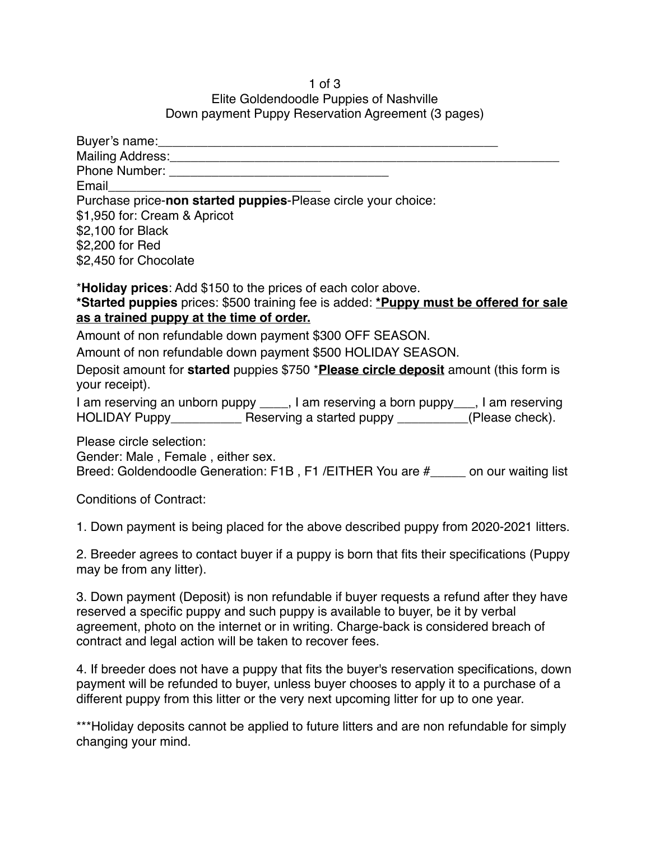## 1 of 3 Elite Goldendoodle Puppies of Nashville Down payment Puppy Reservation Agreement (3 pages)

| Buyer's name: ________                                                                                 |
|--------------------------------------------------------------------------------------------------------|
| Mailing Address:                                                                                       |
| Phone Number: ______                                                                                   |
| Email                                                                                                  |
| Purchase price-non started puppies-Please circle your choice:                                          |
| \$1,950 for: Cream & Apricot                                                                           |
| \$2,100 for Black                                                                                      |
| \$2,200 for Red                                                                                        |
| \$2,450 for Chocolate                                                                                  |
| *Holiday prices: Add \$150 to the prices of each color above.                                          |
| *Started puppies prices: \$500 training fee is added: *Puppy must be offered for sale                  |
| as a trained puppy at the time of order.                                                               |
| Amount of non refundable down payment \$300 OFF SEASON.                                                |
| Amount of non refundable down payment \$500 HOLIDAY SEASON.                                            |
| Deposit amount for started puppies \$750 *Please circle deposit amount (this form is<br>your receipt). |

I am reserving an unborn puppy \_\_\_\_, I am reserving a born puppy \_\_\_, I am reserving HOLIDAY Puppy\_\_\_\_\_\_\_\_\_\_\_\_ Reserving a started puppy \_\_\_\_\_\_\_\_\_\_(Please check).

Please circle selection:

Gender: Male , Female , either sex.

Breed: Goldendoodle Generation: F1B , F1 /EITHER You are #\_\_\_\_\_ on our waiting list

Conditions of Contract:

1. Down payment is being placed for the above described puppy from 2020-2021 litters.

2. Breeder agrees to contact buyer if a puppy is born that fits their specifications (Puppy may be from any litter).

3. Down payment (Deposit) is non refundable if buyer requests a refund after they have reserved a specific puppy and such puppy is available to buyer, be it by verbal agreement, photo on the internet or in writing. Charge-back is considered breach of contract and legal action will be taken to recover fees.

4. If breeder does not have a puppy that fits the buyer's reservation specifications, down payment will be refunded to buyer, unless buyer chooses to apply it to a purchase of a different puppy from this litter or the very next upcoming litter for up to one year.

\*\*\*Holiday deposits cannot be applied to future litters and are non refundable for simply changing your mind.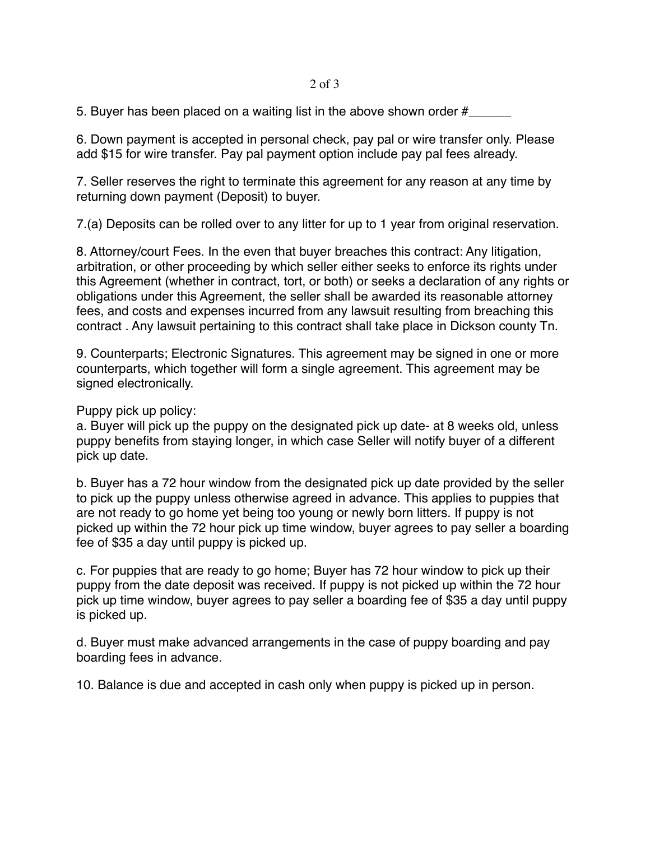## 2 of 3

5. Buyer has been placed on a waiting list in the above shown order  $#_{--}$ 

6. Down payment is accepted in personal check, pay pal or wire transfer only. Please add \$15 for wire transfer. Pay pal payment option include pay pal fees already.

7. Seller reserves the right to terminate this agreement for any reason at any time by returning down payment (Deposit) to buyer.

7.(a) Deposits can be rolled over to any litter for up to 1 year from original reservation.

8. Attorney/court Fees. In the even that buyer breaches this contract: Any litigation, arbitration, or other proceeding by which seller either seeks to enforce its rights under this Agreement (whether in contract, tort, or both) or seeks a declaration of any rights or obligations under this Agreement, the seller shall be awarded its reasonable attorney fees, and costs and expenses incurred from any lawsuit resulting from breaching this contract . Any lawsuit pertaining to this contract shall take place in Dickson county Tn.

9. Counterparts; Electronic Signatures. This agreement may be signed in one or more counterparts, which together will form a single agreement. This agreement may be signed electronically.

## Puppy pick up policy:

a. Buyer will pick up the puppy on the designated pick up date- at 8 weeks old, unless puppy benefits from staying longer, in which case Seller will notify buyer of a different pick up date.

b. Buyer has a 72 hour window from the designated pick up date provided by the seller to pick up the puppy unless otherwise agreed in advance. This applies to puppies that are not ready to go home yet being too young or newly born litters. If puppy is not picked up within the 72 hour pick up time window, buyer agrees to pay seller a boarding fee of \$35 a day until puppy is picked up.

c. For puppies that are ready to go home; Buyer has 72 hour window to pick up their puppy from the date deposit was received. If puppy is not picked up within the 72 hour pick up time window, buyer agrees to pay seller a boarding fee of \$35 a day until puppy is picked up.

d. Buyer must make advanced arrangements in the case of puppy boarding and pay boarding fees in advance.

10. Balance is due and accepted in cash only when puppy is picked up in person.